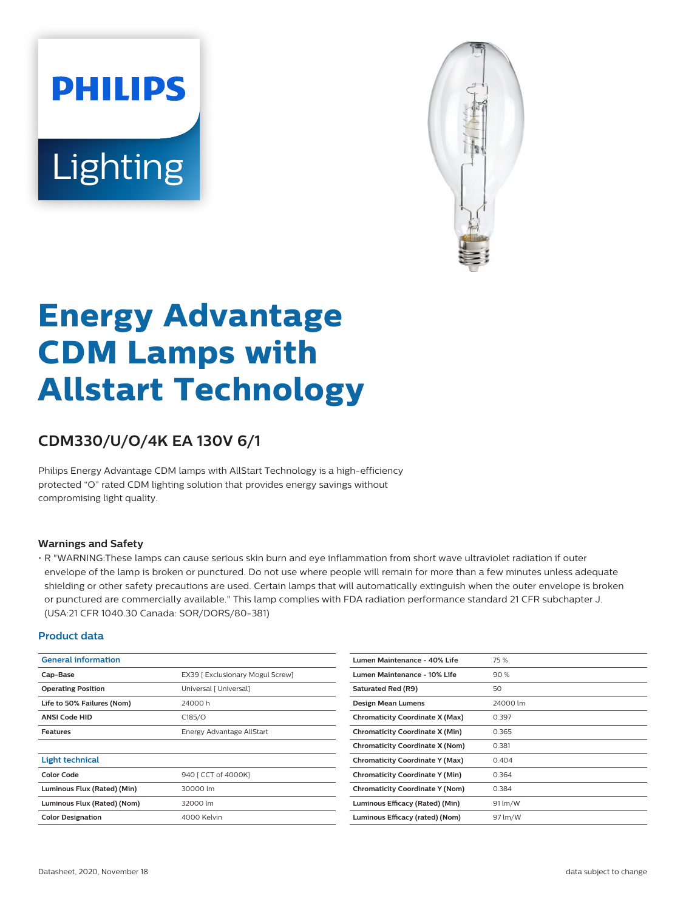# **PHILIPS** Lighting



# **Energy Advantage CDM Lamps with Allstart Technology**

# **CDM330/U/O/4K EA 130V 6/1**

Philips Energy Advantage CDM lamps with AllStart Technology is a high-efficiency protected "O" rated CDM lighting solution that provides energy savings without compromising light quality.

#### **Warnings and Safety**

• R "WARNING:These lamps can cause serious skin burn and eye inflammation from short wave ultraviolet radiation if outer envelope of the lamp is broken or punctured. Do not use where people will remain for more than a few minutes unless adequate shielding or other safety precautions are used. Certain lamps that will automatically extinguish when the outer envelope is broken or punctured are commercially available." This lamp complies with FDA radiation performance standard 21 CFR subchapter J. (USA:21 CFR 1040.30 Canada: SOR/DORS/80-381)

#### **Product data**

| <b>General information</b>  |                                  | Lumen Maintenance - 40% Life           | 75 %     |
|-----------------------------|----------------------------------|----------------------------------------|----------|
| Cap-Base                    | EX39   Exclusionary Mogul Screw] | Lumen Maintenance - 10% Life           | 90%      |
| <b>Operating Position</b>   | Universal [ Universal]           | Saturated Red (R9)                     | 50       |
| Life to 50% Failures (Nom)  | 24000 h                          | <b>Design Mean Lumens</b>              | 24000 lm |
| <b>ANSI Code HID</b>        | C185/O                           | <b>Chromaticity Coordinate X (Max)</b> | 0.397    |
| <b>Features</b>             | Energy Advantage AllStart        | <b>Chromaticity Coordinate X (Min)</b> | 0.365    |
|                             |                                  | <b>Chromaticity Coordinate X (Nom)</b> | 0.381    |
| <b>Light technical</b>      |                                  | <b>Chromaticity Coordinate Y (Max)</b> | 0.404    |
| <b>Color Code</b>           | 940   CCT of 4000K]              | <b>Chromaticity Coordinate Y (Min)</b> | 0.364    |
| Luminous Flux (Rated) (Min) | 30000 lm                         | <b>Chromaticity Coordinate Y (Nom)</b> | 0.384    |
| Luminous Flux (Rated) (Nom) | 32000 lm                         | Luminous Efficacy (Rated) (Min)        | 91 lm/W  |
| <b>Color Designation</b>    | 4000 Kelvin                      | Luminous Efficacy (rated) (Nom)        | 97 lm/W  |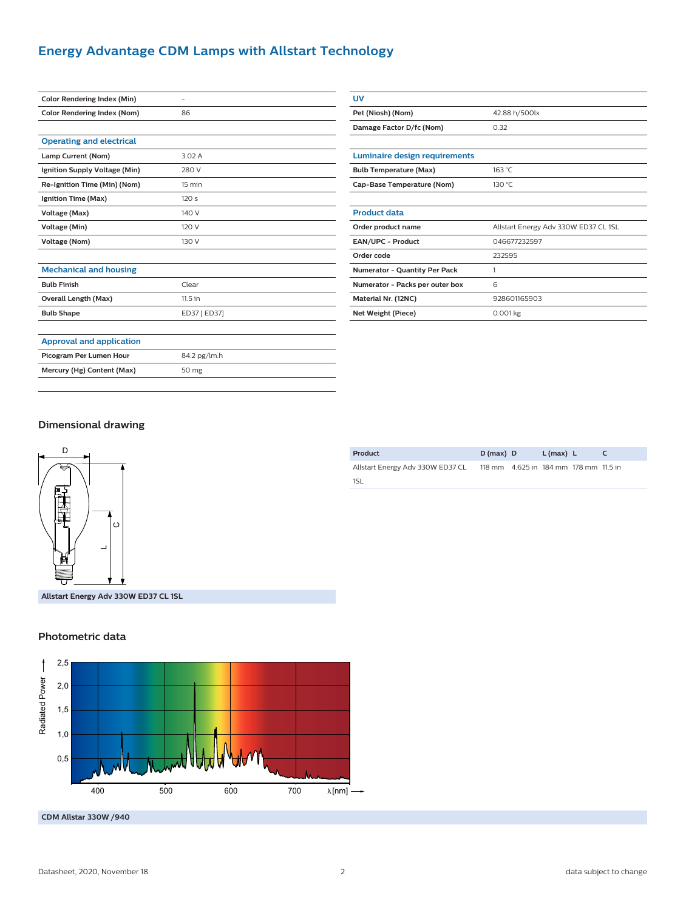## **Energy Advantage CDM Lamps with Allstart Technology**

| <b>Color Rendering Index (Min)</b> |              |  |
|------------------------------------|--------------|--|
| <b>Color Rendering Index (Nom)</b> | 86           |  |
|                                    |              |  |
| <b>Operating and electrical</b>    |              |  |
| Lamp Current (Nom)                 | 3.02A        |  |
| Ignition Supply Voltage (Min)      | 280 V        |  |
| Re-Ignition Time (Min) (Nom)       | 15 min       |  |
| Ignition Time (Max)                | 120s         |  |
| Voltage (Max)                      | 140 V        |  |
| Voltage (Min)                      | 120 V        |  |
| <b>Voltage (Nom)</b>               | 130 V        |  |
|                                    |              |  |
| <b>Mechanical and housing</b>      |              |  |
| <b>Bulb Finish</b>                 | Clear        |  |
| Overall Length (Max)               | 11.5 in      |  |
| <b>Bulb Shape</b>                  | ED37 [ ED37] |  |
|                                    |              |  |
| <b>Approval and application</b>    |              |  |
| Picogram Per Lumen Hour            | 84.2 pg/lm.h |  |
| Mercury (Hg) Content (Max)         | 50 mg        |  |
|                                    |              |  |

| UV                                   |                                      |  |
|--------------------------------------|--------------------------------------|--|
| Pet (Niosh) (Nom)                    | 42.88 h/500lx                        |  |
| Damage Factor D/fc (Nom)             | 0.32                                 |  |
|                                      |                                      |  |
| Luminaire design requirements        |                                      |  |
| <b>Bulb Temperature (Max)</b>        | 163 °C                               |  |
| Cap-Base Temperature (Nom)           | 130 °C                               |  |
|                                      |                                      |  |
| <b>Product data</b>                  |                                      |  |
| Order product name                   | Allstart Energy Adv 330W ED37 CL 1SL |  |
| EAN/UPC - Product                    | 046677232597                         |  |
| Order code                           | 232595                               |  |
| <b>Numerator - Quantity Per Pack</b> | 1                                    |  |
| Numerator - Packs per outer box      | 6                                    |  |
| Material Nr. (12NC)                  | 928601165903                         |  |
| Net Weight (Piece)                   | $0.001$ kg                           |  |

#### **Dimensional drawing**



**Product D (max) D L (max) L C** Allstart Energy Adv 330W ED37 CL 118 mm 4.625 in 184 mm 178 mm 11.5 in 1SL

**Allstart Energy Adv 330W ED37 CL 1SL**

#### **Photometric data**



**CDM Allstar 330W /940**